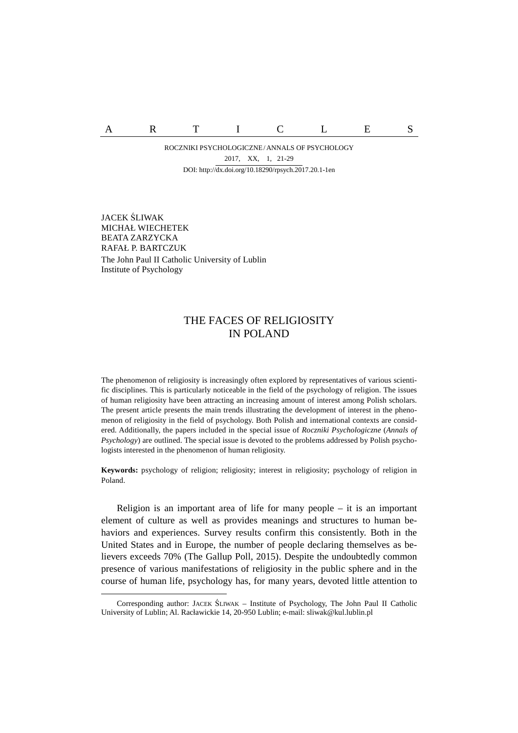A R T I C L E S

ROCZNIKI PSYCHOLOGICZNE/ ANNALS OF PSYCHOLOGY DOI: http://dx.doi.org/10.18290/rpsych.2017.20.1-1en 2017, XX, 1, 21-29

JACEK ŚLIWAK<sup>2</sup> MICHAŁ WIECHETEK BEATA ZARZYCKA RAFAŁ P. BARTCZUK The John Paul II Catholic University of Lublin Institute of Psychology

 $\overline{a}$ 

## THE FACES OF RELIGIOSITY IN POLAND

The phenomenon of religiosity is increasingly often explored by representatives of various scientific disciplines. This is particularly noticeable in the field of the psychology of religion. The issues of human religiosity have been attracting an increasing amount of interest among Polish scholars. The present article presents the main trends illustrating the development of interest in the phenomenon of religiosity in the field of psychology. Both Polish and international contexts are considered. Additionally, the papers included in the special issue of *Roczniki Psychologiczne* (*Annals of Psychology*) are outlined. The special issue is devoted to the problems addressed by Polish psychologists interested in the phenomenon of human religiosity.

**Keywords:** psychology of religion; religiosity; interest in religiosity; psychology of religion in Poland.

Religion is an important area of life for many people – it is an important element of culture as well as provides meanings and structures to human behaviors and experiences. Survey results confirm this consistently. Both in the United States and in Europe, the number of people declaring themselves as believers exceeds 70% (The Gallup Poll, 2015). Despite the undoubtedly common presence of various manifestations of religiosity in the public sphere and in the course of human life, psychology has, for many years, devoted little attention to

Corresponding author: JACEK ŚLIWAK – Institute of Psychology, The John Paul II Catholic University of Lublin; Al. Racławickie 14, 20-950 Lublin; e-mail: sliwak@kul.lublin.pl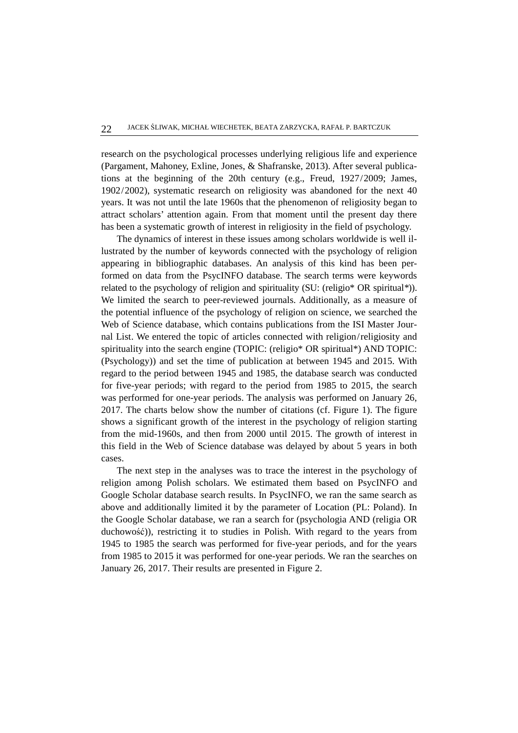research on the psychological processes underlying religious life and experience (Pargament, Mahoney, Exline, Jones, & Shafranske, 2013). After several publications at the beginning of the 20th century (e.g., Freud, 1927/2009; James, 1902/2002), systematic research on religiosity was abandoned for the next 40 years. It was not until the late 1960s that the phenomenon of religiosity began to attract scholars' attention again. From that moment until the present day there has been a systematic growth of interest in religiosity in the field of psychology.

The dynamics of interest in these issues among scholars worldwide is well illustrated by the number of keywords connected with the psychology of religion appearing in bibliographic databases. An analysis of this kind has been performed on data from the PsycINFO database. The search terms were keywords related to the psychology of religion and spirituality (SU: (religio\* OR spiritual*\**)). We limited the search to peer-reviewed journals. Additionally, as a measure of the potential influence of the psychology of religion on science, we searched the Web of Science database, which contains publications from the ISI Master Journal List. We entered the topic of articles connected with religion/religiosity and spirituality into the search engine (TOPIC: (religio\* OR spiritual\*) AND TOPIC: (Psychology)) and set the time of publication at between 1945 and 2015. With regard to the period between 1945 and 1985, the database search was conducted for five-year periods; with regard to the period from 1985 to 2015, the search was performed for one-year periods. The analysis was performed on January 26, 2017. The charts below show the number of citations (cf. Figure 1). The figure shows a significant growth of the interest in the psychology of religion starting from the mid-1960s, and then from 2000 until 2015. The growth of interest in this field in the Web of Science database was delayed by about 5 years in both cases.

The next step in the analyses was to trace the interest in the psychology of religion among Polish scholars. We estimated them based on PsycINFO and Google Scholar database search results. In PsycINFO, we ran the same search as above and additionally limited it by the parameter of Location (PL: Poland). In the Google Scholar database, we ran a search for (psychologia AND (religia OR duchowość)), restricting it to studies in Polish. With regard to the years from 1945 to 1985 the search was performed for five-year periods, and for the years from 1985 to 2015 it was performed for one-year periods. We ran the searches on January 26, 2017. Their results are presented in Figure 2.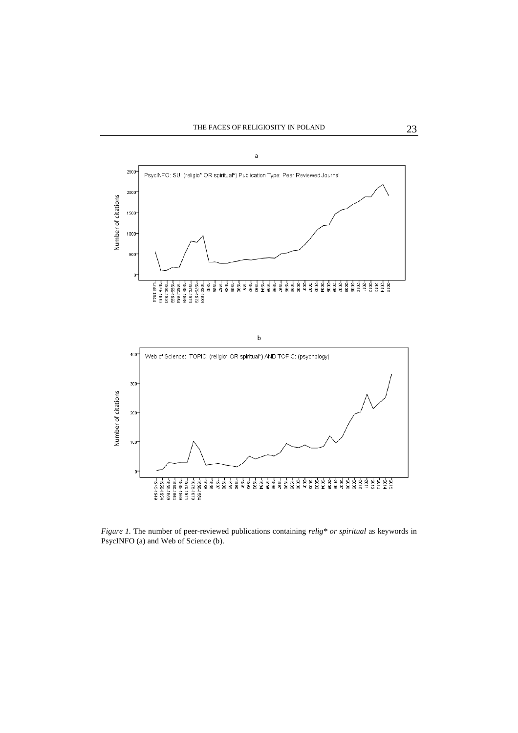

*Figure 1.* The number of peer-reviewed publications containing *relig\* or spiritual* as keywords in PsycINFO (a) and Web of Science (b).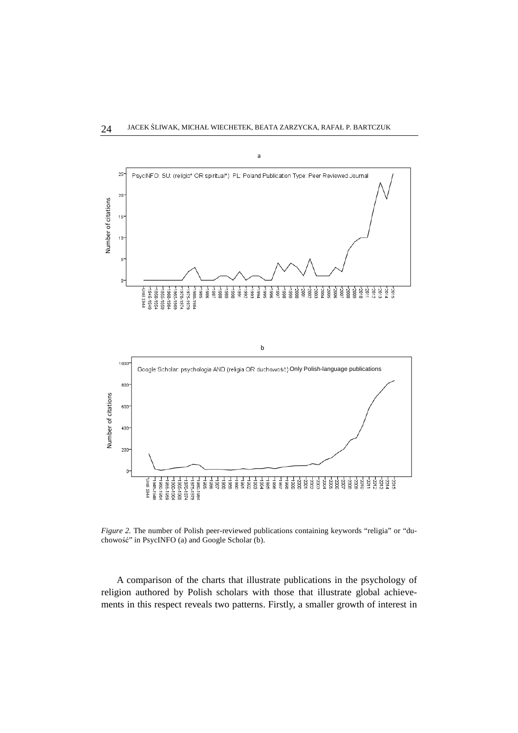

*Figure 2.* The number of Polish peer-reviewed publications containing keywords "religia" or "duchowość" in PsycINFO (a) and Google Scholar (b).

A comparison of the charts that illustrate publications in the psychology of religion authored by Polish scholars with those that illustrate global achieve-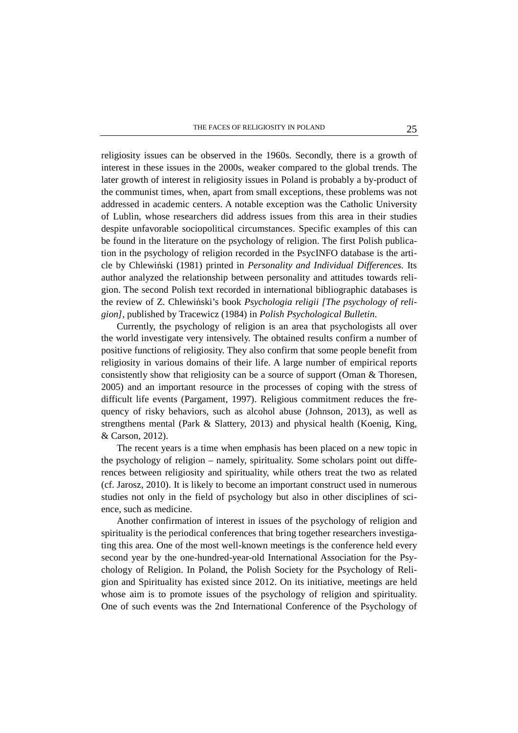religiosity issues can be observed in the 1960s. Secondly, there is a growth of interest in these issues in the 2000s, weaker compared to the global trends. The later growth of interest in religiosity issues in Poland is probably a by-product of the communist times, when, apart from small exceptions, these problems was not addressed in academic centers. A notable exception was the Catholic University of Lublin, whose researchers did address issues from this area in their studies despite unfavorable sociopolitical circumstances. Specific examples of this can be found in the literature on the psychology of religion. The first Polish publication in the psychology of religion recorded in the PsycINFO database is the article by Chlewiński (1981) printed in *Personality and Individual Differences.* Its author analyzed the relationship between personality and attitudes towards religion. The second Polish text recorded in international bibliographic databases is the review of Z. Chlewiński's book *Psychologia religii [The psychology of religion]*, published by Tracewicz (1984) in *Polish Psychological Bulletin*.

Currently, the psychology of religion is an area that psychologists all over the world investigate very intensively. The obtained results confirm a number of positive functions of religiosity. They also confirm that some people benefit from religiosity in various domains of their life. A large number of empirical reports consistently show that religiosity can be a source of support (Oman & Thoresen, 2005) and an important resource in the processes of coping with the stress of difficult life events (Pargament, 1997). Religious commitment reduces the frequency of risky behaviors, such as alcohol abuse (Johnson, 2013), as well as strengthens mental (Park & Slattery, 2013) and physical health (Koenig, King, & Carson, 2012).

The recent years is a time when emphasis has been placed on a new topic in the psychology of religion – namely, spirituality. Some scholars point out differences between religiosity and spirituality, while others treat the two as related (cf. Jarosz, 2010). It is likely to become an important construct used in numerous studies not only in the field of psychology but also in other disciplines of science, such as medicine.

Another confirmation of interest in issues of the psychology of religion and spirituality is the periodical conferences that bring together researchers investigating this area. One of the most well-known meetings is the conference held every second year by the one-hundred-year-old International Association for the Psychology of Religion. In Poland, the Polish Society for the Psychology of Religion and Spirituality has existed since 2012. On its initiative, meetings are held whose aim is to promote issues of the psychology of religion and spirituality. One of such events was the 2nd International Conference of the Psychology of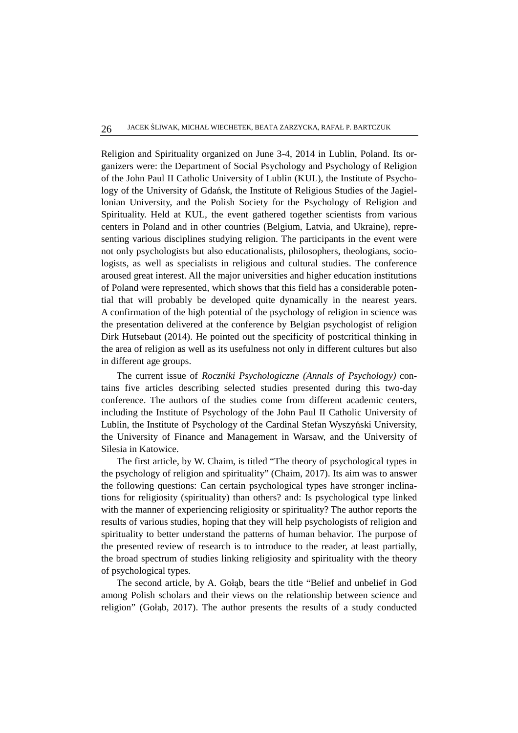Religion and Spirituality organized on June 3-4, 2014 in Lublin, Poland. Its organizers were: the Department of Social Psychology and Psychology of Religion of the John Paul II Catholic University of Lublin (KUL), the Institute of Psychology of the University of Gdańsk, the Institute of Religious Studies of the Jagiellonian University, and the Polish Society for the Psychology of Religion and Spirituality. Held at KUL, the event gathered together scientists from various centers in Poland and in other countries (Belgium, Latvia, and Ukraine), representing various disciplines studying religion. The participants in the event were not only psychologists but also educationalists, philosophers, theologians, sociologists, as well as specialists in religious and cultural studies. The conference aroused great interest. All the major universities and higher education institutions of Poland were represented, which shows that this field has a considerable potential that will probably be developed quite dynamically in the nearest years. A confirmation of the high potential of the psychology of religion in science was the presentation delivered at the conference by Belgian psychologist of religion Dirk Hutsebaut (2014). He pointed out the specificity of postcritical thinking in the area of religion as well as its usefulness not only in different cultures but also in different age groups.

The current issue of *Roczniki Psychologiczne (Annals of Psychology)* contains five articles describing selected studies presented during this two-day conference. The authors of the studies come from different academic centers, including the Institute of Psychology of the John Paul II Catholic University of Lublin, the Institute of Psychology of the Cardinal Stefan Wyszyński University, the University of Finance and Management in Warsaw, and the University of Silesia in Katowice.

The first article, by W. Chaim, is titled "The theory of psychological types in the psychology of religion and spirituality" (Chaim, 2017). Its aim was to answer the following questions: Can certain psychological types have stronger inclinations for religiosity (spirituality) than others? and: Is psychological type linked with the manner of experiencing religiosity or spirituality? The author reports the results of various studies, hoping that they will help psychologists of religion and spirituality to better understand the patterns of human behavior. The purpose of the presented review of research is to introduce to the reader, at least partially, the broad spectrum of studies linking religiosity and spirituality with the theory of psychological types.

The second article, by A. Gołąb, bears the title "Belief and unbelief in God among Polish scholars and their views on the relationship between science and religion" (Gołąb, 2017). The author presents the results of a study conducted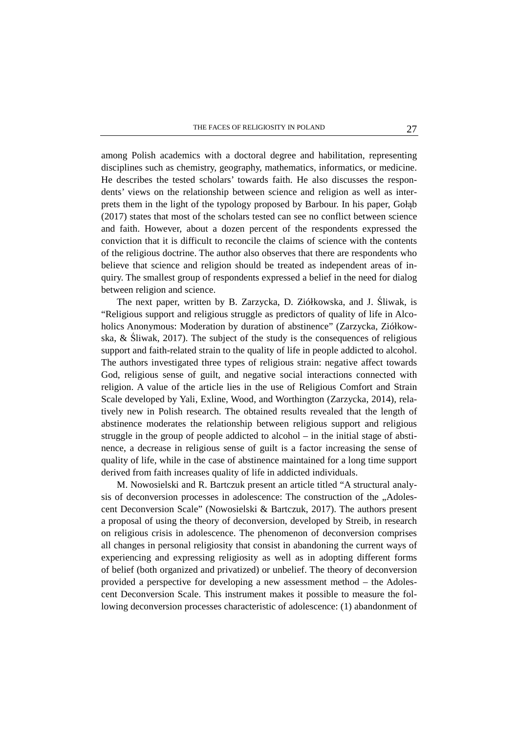among Polish academics with a doctoral degree and habilitation, representing disciplines such as chemistry, geography, mathematics, informatics, or medicine. He describes the tested scholars' towards faith. He also discusses the respondents' views on the relationship between science and religion as well as interprets them in the light of the typology proposed by Barbour. In his paper, Gołąb (2017) states that most of the scholars tested can see no conflict between science and faith. However, about a dozen percent of the respondents expressed the conviction that it is difficult to reconcile the claims of science with the contents of the religious doctrine. The author also observes that there are respondents who believe that science and religion should be treated as independent areas of inquiry. The smallest group of respondents expressed a belief in the need for dialog between religion and science.

The next paper, written by B. Zarzycka, D. Ziółkowska, and J. Śliwak, is "Religious support and religious struggle as predictors of quality of life in Alcoholics Anonymous: Moderation by duration of abstinence" (Zarzycka, Ziółkowska, & Śliwak, 2017). The subject of the study is the consequences of religious support and faith-related strain to the quality of life in people addicted to alcohol. The authors investigated three types of religious strain: negative affect towards God, religious sense of guilt, and negative social interactions connected with religion. A value of the article lies in the use of Religious Comfort and Strain Scale developed by Yali, Exline, Wood, and Worthington (Zarzycka, 2014), relatively new in Polish research. The obtained results revealed that the length of abstinence moderates the relationship between religious support and religious struggle in the group of people addicted to alcohol – in the initial stage of abstinence, a decrease in religious sense of guilt is a factor increasing the sense of quality of life, while in the case of abstinence maintained for a long time support derived from faith increases quality of life in addicted individuals.

M. Nowosielski and R. Bartczuk present an article titled "A structural analysis of deconversion processes in adolescence: The construction of the "Adolescent Deconversion Scale" (Nowosielski & Bartczuk, 2017). The authors present a proposal of using the theory of deconversion, developed by Streib, in research on religious crisis in adolescence. The phenomenon of deconversion comprises all changes in personal religiosity that consist in abandoning the current ways of experiencing and expressing religiosity as well as in adopting different forms of belief (both organized and privatized) or unbelief. The theory of deconversion provided a perspective for developing a new assessment method – the Adolescent Deconversion Scale. This instrument makes it possible to measure the following deconversion processes characteristic of adolescence: (1) abandonment of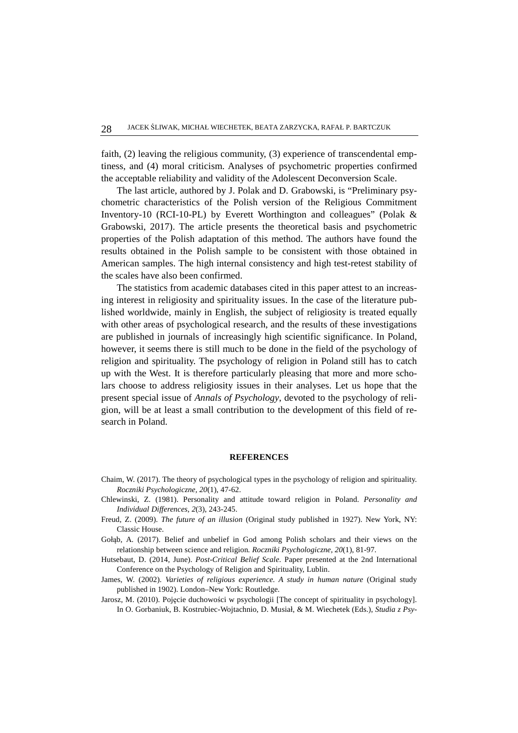faith, (2) leaving the religious community, (3) experience of transcendental emptiness, and (4) moral criticism. Analyses of psychometric properties confirmed the acceptable reliability and validity of the Adolescent Deconversion Scale.

The last article, authored by J. Polak and D. Grabowski, is "Preliminary psychometric characteristics of the Polish version of the Religious Commitment Inventory-10 (RCI-10-PL) by Everett Worthington and colleagues" (Polak & Grabowski, 2017). The article presents the theoretical basis and psychometric properties of the Polish adaptation of this method. The authors have found the results obtained in the Polish sample to be consistent with those obtained in American samples. The high internal consistency and high test-retest stability of the scales have also been confirmed.

The statistics from academic databases cited in this paper attest to an increasing interest in religiosity and spirituality issues. In the case of the literature published worldwide, mainly in English, the subject of religiosity is treated equally with other areas of psychological research, and the results of these investigations are published in journals of increasingly high scientific significance. In Poland, however, it seems there is still much to be done in the field of the psychology of religion and spirituality. The psychology of religion in Poland still has to catch up with the West. It is therefore particularly pleasing that more and more scholars choose to address religiosity issues in their analyses. Let us hope that the present special issue of *Annals of Psychology*, devoted to the psychology of religion, will be at least a small contribution to the development of this field of research in Poland.

## **REFERENCES**

- Chaim, W. (2017). The theory of psychological types in the psychology of religion and spirituality. *Roczniki Psychologiczne, 20*(1), 47-62.
- Chlewinski, Z. (1981). Personality and attitude toward religion in Poland. *Personality and Individual Differences*, *2*(3), 243-245.
- Freud, Z. (2009). *The future of an illusion* (Original study published in 1927). New York, NY: Classic House.
- Gołąb, A. (2017). Belief and unbelief in God among Polish scholars and their views on the relationship between science and religion*. Roczniki Psychologiczne, 20*(1), 81-97.
- Hutsebaut, D. (2014, June). *Post-Critical Belief Scale*. Paper presented at the 2nd International Conference on the Psychology of Religion and Spirituality, Lublin.
- James, W. (2002). *Varieties of religious experience. A study in human nature* (Original study published in 1902). London–New York: Routledge.
- Jarosz, M. (2010). Pojęcie duchowości w psychologii [The concept of spirituality in psychology]. In O. Gorbaniuk, B. Kostrubiec-Wojtachnio, D. Musiał, & M. Wiechetek (Eds.), *Studia z Psy-*